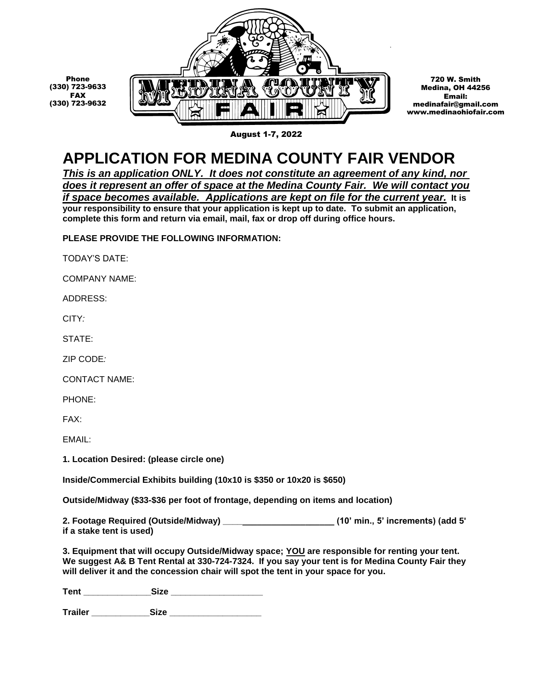

720 W. Smith Medina, OH 44256 Email: medinafair@gmail.com www.medinaohiofair.com

## **APPLICATION FOR MEDINA COUNTY FAIR VENDOR**

*This is an application ONLY. It does not constitute an agreement of any kind, nor does it represent an offer of space at the Medina County Fair. We will contact you if space becomes available. Applications are kept on file for the current year.* **It is your responsibility to ensure that your application is kept up to date. To submit an application, complete this form and return via email, mail, fax or drop off during office hours.**

**PLEASE PROVIDE THE FOLLOWING INFORMATION:**

TODAY'S DATE:

COMPANY NAME:

ADDRESS:

CITY*:*

Phone

FAX

STATE:

ZIP CODE*:*

CONTACT NAME:

PHONE:

FAX:

EMAIL:

**1. Location Desired: (please circle one)**

**Inside/Commercial Exhibits building (10x10 is \$350 or 10x20 is \$650)**

**Outside/Midway (\$33-\$36 per foot of frontage, depending on items and location)**

**2. Footage Required (Outside/Midway) \_\_\_\_\_\_\_\_\_\_\_\_\_\_\_\_\_\_\_\_\_\_\_ (10' min., 5' increments) (add 5' if a stake tent is used)**

**3. Equipment that will occupy Outside/Midway space; YOU are responsible for renting your tent. We suggest A& B Tent Rental at 330-724-7324. If you say your tent is for Medina County Fair they will deliver it and the concession chair will spot the tent in your space for you.**

**Tent \_\_\_\_\_\_\_\_\_\_\_\_\_\_Size \_\_\_\_\_\_\_\_\_\_\_\_\_\_\_\_\_\_\_**

**Trailer \_\_\_\_\_\_\_\_\_\_\_\_Size \_\_\_\_\_\_\_\_\_\_\_\_\_\_\_\_\_\_\_**